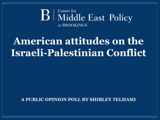### Center for **B** Middle East Policy at BROOKINGS

# **American attitudes on the Israeli-Palestinian Conflict**

**A PUBLIC OPINION POLL BY SHIBLEY TELHAMI**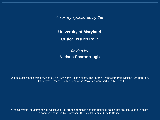*A survey sponsored by the*

**University of Maryland Critical Issues Poll\***

*fielded by* **Nielsen Scarborough**

Valuable assistance was provided by Neil Schwartz, Scott Willoth, and Jordan Evangelista from Nielsen Scarborough. Brittany Kyser, Rachel Slattery, and Anne Peckham were particularly helpful.

\*The University of Maryland Critical Issues Poll probes domestic and international issues that are central to our policy discourse and is led by Professors Shibley Telhami and Stella Rouse.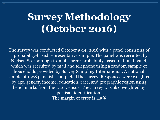# **Survey Methodology (October 2016)**

The survey was conducted October 5-14, 2016 with a panel consisting of a probability-based representative sample. The panel was recruited by Nielsen Scarborough from its larger probability-based national panel, which was recruited by mail and telephone using a random sample of households provided by Survey Sampling International. A national sample of 1528 panelists completed the survey. Responses were weighted by age, gender, income, education, race, and geographic region using benchmarks from the U.S. Census. The survey was also weighted by partisan identification. The margin of error is 2.5%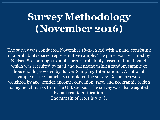# **Survey Methodology (November 2016)**

The survey was conducted November 18-23, 2016 with a panel consisting of a probability-based representative sample. The panel was recruited by Nielsen Scarborough from its larger probability-based national panel, which was recruited by mail and telephone using a random sample of households provided by Survey Sampling International. A national sample of 1042 panelists completed the survey. Responses were weighted by age, gender, income, education, race, and geographic region using benchmarks from the U.S. Census. The survey was also weighted by partisan identification. The margin of error is 3.04%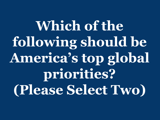**Which of the following should be America's top global priorities? (Please Select Two)**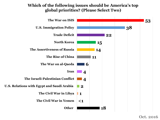#### **Which of the following issues should be America's top global priorities? (Please Select Two)**

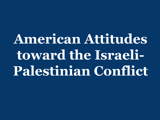**American Attitudes toward the Israeli-Palestinian Conflict**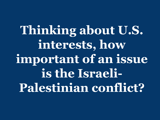**Thinking about U.S. interests, how important of an issue is the Israeli-Palestinian conflict?**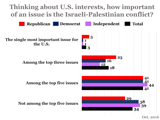

**Oct. 2016**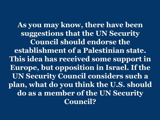**As you may know, there have been suggestions that the UN Security Council should endorse the establishment of a Palestinian state. This idea has received some support in Europe, but opposition in Israel. If the UN Security Council considers such a plan, what do you think the U.S. should do as a member of the UN Security Council?**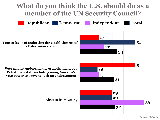## **What do you think the U.S. should do as a member of the UN Security Council?**

**Republican Democrat Independent Total**

**Nov. 2016**

**Vote in favor of endorsing the establishment of a Palestinian state**

**Vote against endorsing the establishment of a Palestinian state including using America's veto power to prevent such an endorsement**

**Abstain from voting**

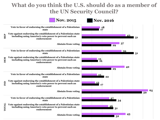### **What do you think the U.S. should do as a member of the UN Security Council?**

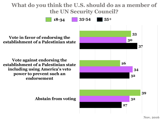### **What do you think the U.S. should do as a member of the UN Security Council?**

**18-34 35-54 55+**

**Vote in favor of endorsing the establishment of a Palestinian state**

**Vote against endorsing the establishment of a Palestinian state including using America's veto power to prevent such an endorsement**

**Abstain from voting**

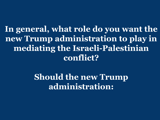**In general, what role do you want the new Trump administration to play in mediating the Israeli-Palestinian conflict?** 

> **Should the new Trump administration:**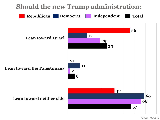## **Should the new Trump administration:**

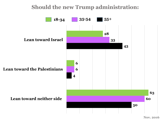#### **Should the new Trump administration:**

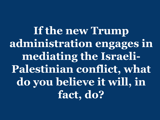**If the new Trump administration engages in mediating the Israeli-Palestinian conflict, what do you believe it will, in fact, do?**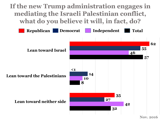**If the new Trump administration engages in mediating the Israeli Palestinian conflict, what do you believe it will, in fact, do?**



**Nov. 2016**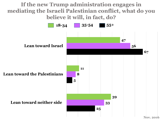**If the new Trump administration engages in mediating the Israeli Palestinian conflict, what do you believe it will, in fact, do?**



**Nov. 2016**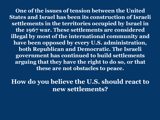**One of the issues of tension between the United States and Israel has been its construction of Israeli settlements in the territories occupied by Israel in the 1967 war. These settlements are considered illegal by most of the international community and have been opposed by every U.S. administration, both Republican and Democratic. The Israeli government has continued to build settlements arguing that they have the right to do so, or that these are not obstacles to peace.** 

**How do you believe the U.S. should react to new settlements?**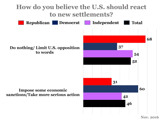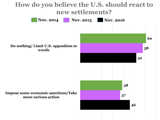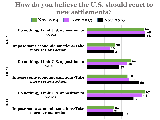## **How do you believe the U.S. should react to new settlements?**

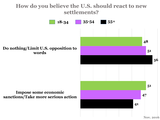#### **How do you believe the U.S. should react to new settlements?**

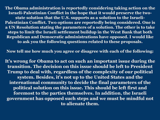**The Obama administration is reportedly considering taking action on the Israeli-Palestinian Conflict in the hope that it would preserve the twostate solution that the U.S. supports as a solution to the Israeli-Palestinian Conflict. Two options are reportedly being considered. One is a UN Resolution stating the parameters of a solution. The other is to take steps to limit the Israeli settlement buildup in the West Bank that both Republican and Democratic administrations have opposed. I would like to ask you the following questions related to these proposals.** 

**Now tell me how much you agree or disagree with each of the following:**

**It's wrong for Obama to act on such an important issue during the transition. The decision on this issue should be left to President Trump to deal with, regardless of the complexity of our political system. Besides, it's not up to the United States and the international community to decide the final parameters of the political solution on this issue. This should be left first and foremost to the parties themselves. In addition, the Israeli government has opposed such steps and we must be mindful not to alienate them.**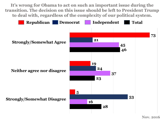**It's wrong for Obama to act on such an important issue during the transition. The decision on this issue should be left to President Trump to deal with, regardless of the complexity of our political system.** 

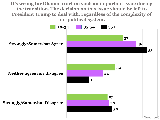**It's wrong for Obama to act on such an important issue during the transition. The decision on this issue should be left to President Trump to deal with, regardless of the complexity of our political system.** 



**Nov. 2016**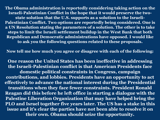**The Obama administration is reportedly considering taking action on the Israeli-Palestinian Conflict in the hope that it would preserve the twostate solution that the U.S. supports as a solution to the Israeli-Palestinian Conflict. Two options are reportedly being considered. One is a UN Resolution stating the parameters of a solution. The other is to take steps to limit the Israeli settlement buildup in the West Bank that both Republican and Democratic administrations have opposed. I would like to ask you the following questions related to these proposals.** 

**Now tell me how much you agree or disagree with each of the following:**

**One reason the United States has been ineffective in addressing the Israeli-Palestinian conflict is that American Presidents face domestic political constraints in Congress, campaign contributions, and lobbies. Presidents have an opportunity to act effectively to advance the national interest during the Presidential transitions when they face fewer constraints. President Ronald Reagan did this before he left office in starting a dialogue with the Palestine Liberation Organization that may have helped bring the PLO and Israel together five years later. The US has a stake in this issue and it's clear the parties have not been able to resolve it on their own. Obama should seize the opportunity.**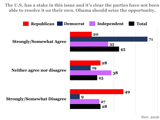**The U.S. has a stake in this issue and it's clear the parties have not been able to resolve it on their own. Obama should seize the opportunity.** 

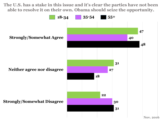**The U.S. has a stake in this issue and it's clear the parties have not been able to resolve it on their own. Obama should seize the opportunity.** 

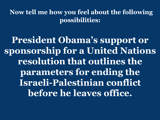**Now tell me how you feel about the following possibilities:**

**President Obama's support or sponsorship for a United Nations resolution that outlines the parameters for ending the Israeli-Palestinian conflict before he leaves office.**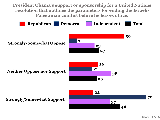**President Obama's support or sponsorship for a United Nations resolution that outlines the parameters for ending the Israeli-Palestinian conflict before he leaves office.** 

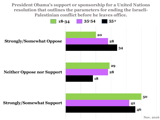**President Obama's support or sponsorship for a United Nations resolution that outlines the parameters for ending the Israeli-Palestinian conflict before he leaves office.** 



**Nov. 2016**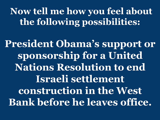**Now tell me how you feel about the following possibilities:**

**President Obama's support or sponsorship for a United Nations Resolution to end Israeli settlement construction in the West Bank before he leaves office.**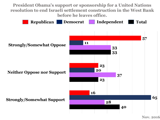**President Obama's support or sponsorship for a United Nations resolution to end Israeli settlement construction in the West Bank before he leaves office.** 

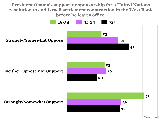**President Obama's support or sponsorship for a United Nations resolution to end Israeli settlement construction in the West Bank before he leaves office.** 

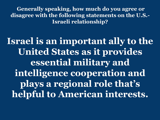**Generally speaking, how much do you agree or disagree with the following statements on the U.S.- Israeli relationship?** 

**Israel is an important ally to the United States as it provides essential military and intelligence cooperation and plays a regional role that's helpful to American interests.**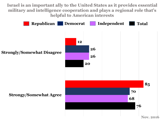**Israel is an important ally to the United States as it provides essential military and intelligence cooperation and plays a regional role that's helpful to American interests**

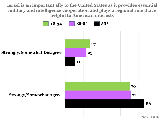**Israel is an important ally to the United States as it provides essential military and intelligence cooperation and plays a regional role that's helpful to American interests**

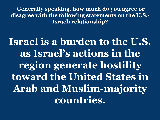**Generally speaking, how much do you agree or disagree with the following statements on the U.S.- Israeli relationship?** 

**Israel is a burden to the U.S. as Israel's actions in the region generate hostility toward the United States in Arab and Muslim-majority countries.**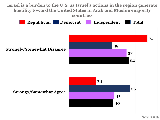#### **Israel is a burden to the U.S. as Israel's actions in the region generate hostility toward the United States in Arab and Muslim-majority countries**

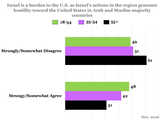#### **Israel is a burden to the U.S. as Israel's actions in the region generate hostility toward the United States in Arab and Muslim-majority countries**

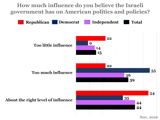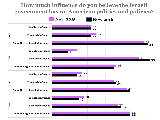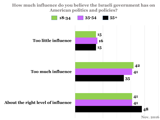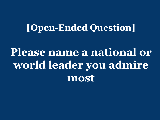## **[Open-Ended Question]**

**Please name a national or world leader you admire most**